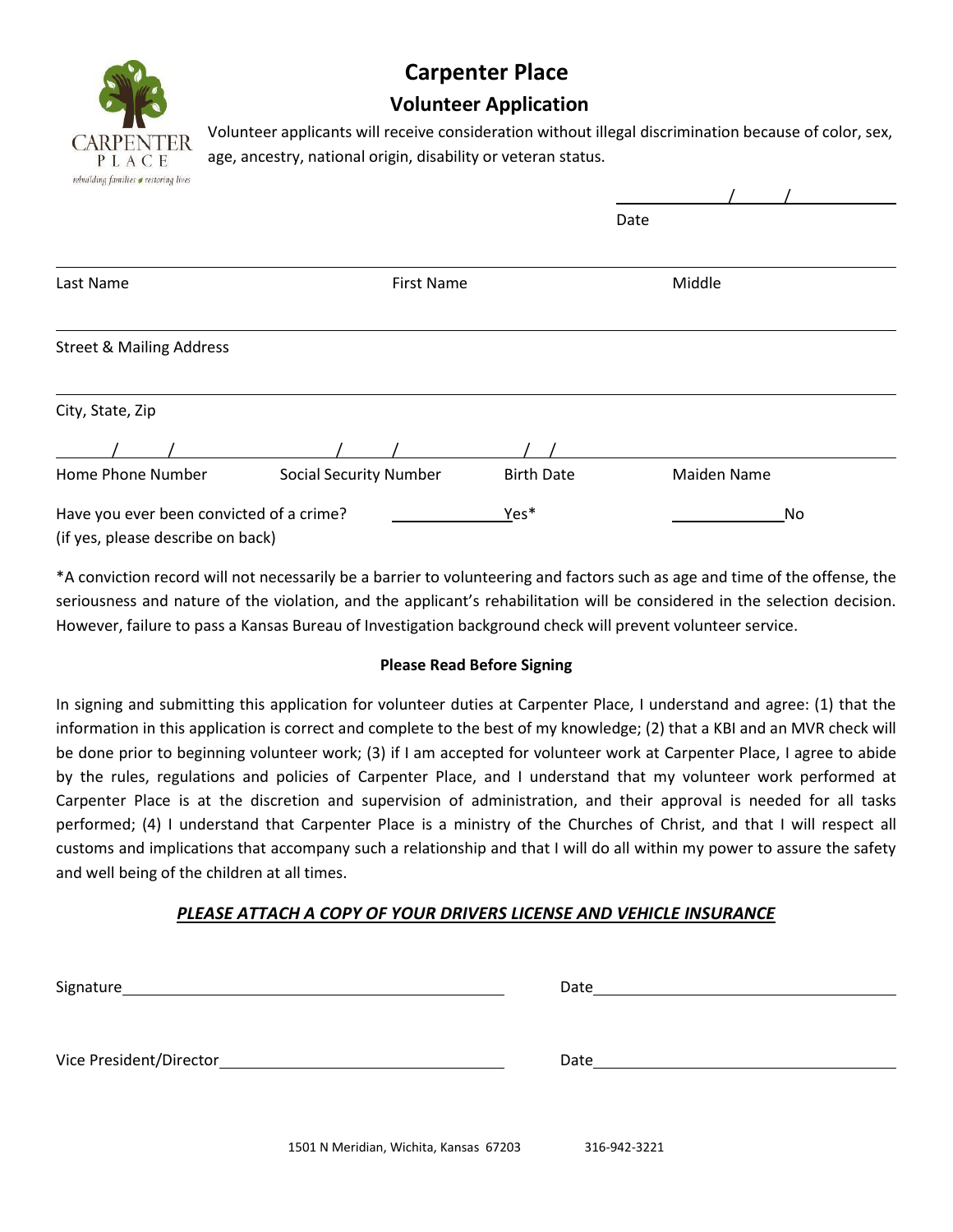

## **Carpenter Place**

## **Volunteer Application**

Volunteer applicants will receive consideration without illegal discrimination because of color, sex, age, ancestry, national origin, disability or veteran status.

| reounaing jamuies <b>o</b> restoring tives |                               |                   |             |  |
|--------------------------------------------|-------------------------------|-------------------|-------------|--|
|                                            |                               |                   | Date        |  |
| Last Name                                  | <b>First Name</b>             |                   | Middle      |  |
| <b>Street &amp; Mailing Address</b>        |                               |                   |             |  |
| City, State, Zip                           |                               |                   |             |  |
|                                            |                               |                   |             |  |
| Home Phone Number                          | <b>Social Security Number</b> | <b>Birth Date</b> | Maiden Name |  |
| Have you ever been convicted of a crime?   |                               | Yes*              | No          |  |
| (if yes, please describe on back)          |                               |                   |             |  |

\*A conviction record will not necessarily be a barrier to volunteering and factors such as age and time of the offense, the seriousness and nature of the violation, and the applicant's rehabilitation will be considered in the selection decision. However, failure to pass a Kansas Bureau of Investigation background check will prevent volunteer service.

## **Please Read Before Signing**

In signing and submitting this application for volunteer duties at Carpenter Place, I understand and agree: (1) that the information in this application is correct and complete to the best of my knowledge; (2) that a KBI and an MVR check will be done prior to beginning volunteer work; (3) if I am accepted for volunteer work at Carpenter Place, I agree to abide by the rules, regulations and policies of Carpenter Place, and I understand that my volunteer work performed at Carpenter Place is at the discretion and supervision of administration, and their approval is needed for all tasks performed; (4) I understand that Carpenter Place is a ministry of the Churches of Christ, and that I will respect all customs and implications that accompany such a relationship and that I will do all within my power to assure the safety and well being of the children at all times.

## *PLEASE ATTACH A COPY OF YOUR DRIVERS LICENSE AND VEHICLE INSURANCE*

| Signature               | Date |
|-------------------------|------|
| Vice President/Director | Date |
|                         |      |